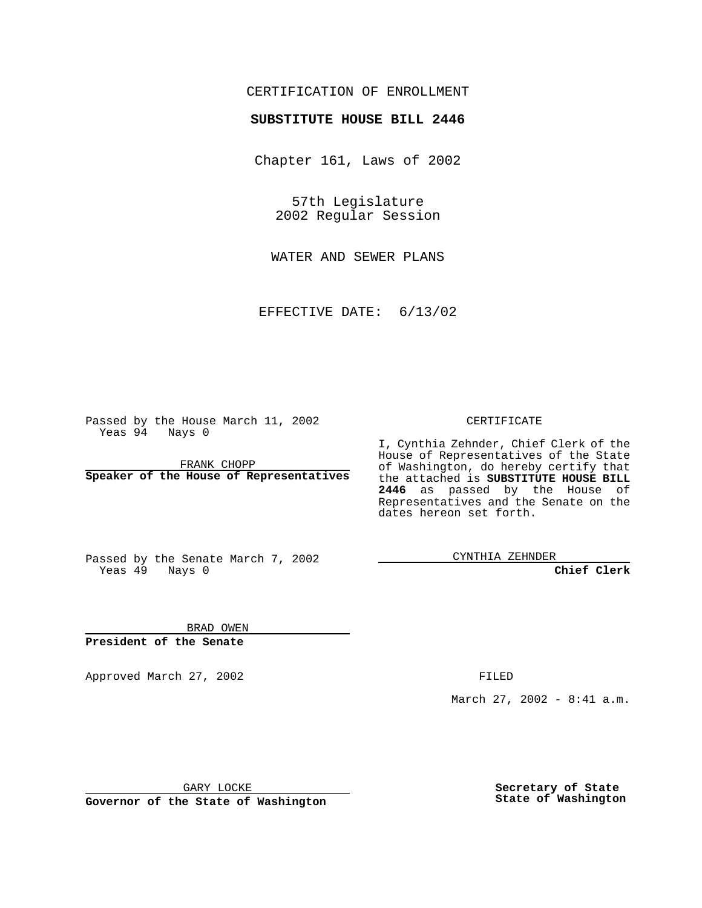### CERTIFICATION OF ENROLLMENT

# **SUBSTITUTE HOUSE BILL 2446**

Chapter 161, Laws of 2002

57th Legislature 2002 Regular Session

WATER AND SEWER PLANS

EFFECTIVE DATE: 6/13/02

Passed by the House March 11, 2002 Yeas 94 Nays 0

FRANK CHOPP **Speaker of the House of Representatives** CERTIFICATE

I, Cynthia Zehnder, Chief Clerk of the House of Representatives of the State of Washington, do hereby certify that the attached is **SUBSTITUTE HOUSE BILL 2446** as passed by the House of Representatives and the Senate on the dates hereon set forth.

Passed by the Senate March 7, 2002 Yeas 49 Nays 0

CYNTHIA ZEHNDER

**Chief Clerk**

BRAD OWEN **President of the Senate**

Approved March 27, 2002 **FILED** 

March 27, 2002 - 8:41 a.m.

GARY LOCKE

**Governor of the State of Washington**

**Secretary of State State of Washington**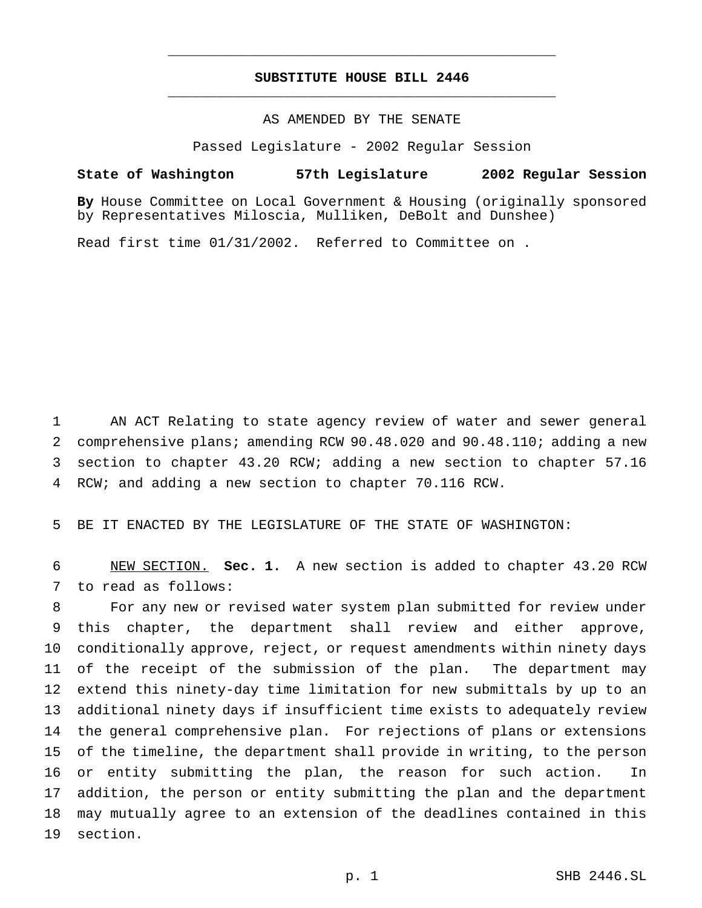## **SUBSTITUTE HOUSE BILL 2446** \_\_\_\_\_\_\_\_\_\_\_\_\_\_\_\_\_\_\_\_\_\_\_\_\_\_\_\_\_\_\_\_\_\_\_\_\_\_\_\_\_\_\_\_\_\_\_

\_\_\_\_\_\_\_\_\_\_\_\_\_\_\_\_\_\_\_\_\_\_\_\_\_\_\_\_\_\_\_\_\_\_\_\_\_\_\_\_\_\_\_\_\_\_\_

#### AS AMENDED BY THE SENATE

Passed Legislature - 2002 Regular Session

#### **State of Washington 57th Legislature 2002 Regular Session**

**By** House Committee on Local Government & Housing (originally sponsored by Representatives Miloscia, Mulliken, DeBolt and Dunshee)

Read first time 01/31/2002. Referred to Committee on .

 AN ACT Relating to state agency review of water and sewer general comprehensive plans; amending RCW 90.48.020 and 90.48.110; adding a new section to chapter 43.20 RCW; adding a new section to chapter 57.16 RCW; and adding a new section to chapter 70.116 RCW.

BE IT ENACTED BY THE LEGISLATURE OF THE STATE OF WASHINGTON:

 NEW SECTION. **Sec. 1.** A new section is added to chapter 43.20 RCW to read as follows:

 For any new or revised water system plan submitted for review under this chapter, the department shall review and either approve, conditionally approve, reject, or request amendments within ninety days of the receipt of the submission of the plan. The department may extend this ninety-day time limitation for new submittals by up to an additional ninety days if insufficient time exists to adequately review the general comprehensive plan. For rejections of plans or extensions of the timeline, the department shall provide in writing, to the person or entity submitting the plan, the reason for such action. In addition, the person or entity submitting the plan and the department may mutually agree to an extension of the deadlines contained in this section.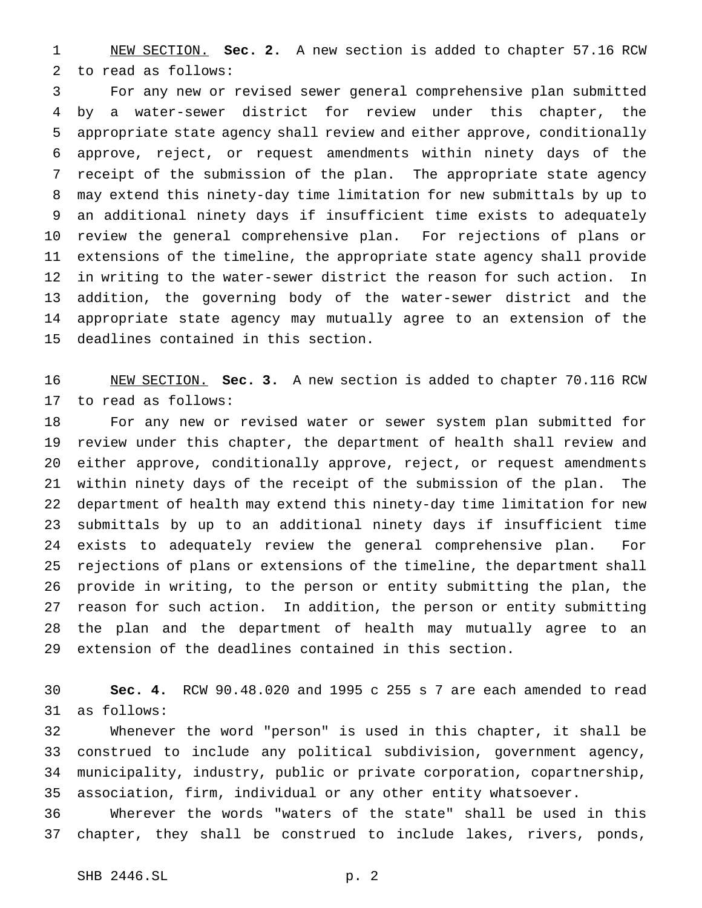NEW SECTION. **Sec. 2.** A new section is added to chapter 57.16 RCW to read as follows:

 For any new or revised sewer general comprehensive plan submitted by a water-sewer district for review under this chapter, the appropriate state agency shall review and either approve, conditionally approve, reject, or request amendments within ninety days of the receipt of the submission of the plan. The appropriate state agency may extend this ninety-day time limitation for new submittals by up to an additional ninety days if insufficient time exists to adequately review the general comprehensive plan. For rejections of plans or extensions of the timeline, the appropriate state agency shall provide in writing to the water-sewer district the reason for such action. In addition, the governing body of the water-sewer district and the appropriate state agency may mutually agree to an extension of the deadlines contained in this section.

 NEW SECTION. **Sec. 3.** A new section is added to chapter 70.116 RCW to read as follows:

 For any new or revised water or sewer system plan submitted for review under this chapter, the department of health shall review and either approve, conditionally approve, reject, or request amendments within ninety days of the receipt of the submission of the plan. The department of health may extend this ninety-day time limitation for new submittals by up to an additional ninety days if insufficient time exists to adequately review the general comprehensive plan. For rejections of plans or extensions of the timeline, the department shall provide in writing, to the person or entity submitting the plan, the reason for such action. In addition, the person or entity submitting the plan and the department of health may mutually agree to an extension of the deadlines contained in this section.

 **Sec. 4.** RCW 90.48.020 and 1995 c 255 s 7 are each amended to read as follows:

 Whenever the word "person" is used in this chapter, it shall be construed to include any political subdivision, government agency, municipality, industry, public or private corporation, copartnership, association, firm, individual or any other entity whatsoever.

 Wherever the words "waters of the state" shall be used in this chapter, they shall be construed to include lakes, rivers, ponds,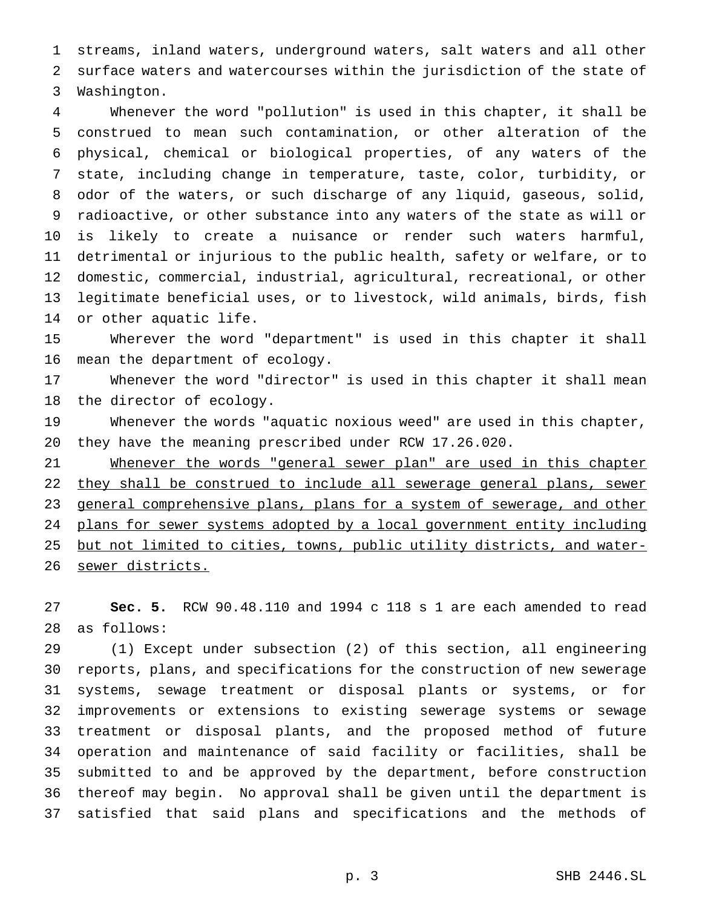streams, inland waters, underground waters, salt waters and all other surface waters and watercourses within the jurisdiction of the state of Washington.

 Whenever the word "pollution" is used in this chapter, it shall be construed to mean such contamination, or other alteration of the physical, chemical or biological properties, of any waters of the state, including change in temperature, taste, color, turbidity, or odor of the waters, or such discharge of any liquid, gaseous, solid, radioactive, or other substance into any waters of the state as will or is likely to create a nuisance or render such waters harmful, detrimental or injurious to the public health, safety or welfare, or to domestic, commercial, industrial, agricultural, recreational, or other legitimate beneficial uses, or to livestock, wild animals, birds, fish or other aquatic life.

 Wherever the word "department" is used in this chapter it shall mean the department of ecology.

 Whenever the word "director" is used in this chapter it shall mean the director of ecology.

 Whenever the words "aquatic noxious weed" are used in this chapter, they have the meaning prescribed under RCW 17.26.020.

21 Whenever the words "general sewer plan" are used in this chapter 22 they shall be construed to include all sewerage general plans, sewer general comprehensive plans, plans for a system of sewerage, and other 24 plans for sewer systems adopted by a local government entity including but not limited to cities, towns, public utility districts, and water-sewer districts.

 **Sec. 5.** RCW 90.48.110 and 1994 c 118 s 1 are each amended to read as follows:

 (1) Except under subsection (2) of this section, all engineering reports, plans, and specifications for the construction of new sewerage systems, sewage treatment or disposal plants or systems, or for improvements or extensions to existing sewerage systems or sewage treatment or disposal plants, and the proposed method of future operation and maintenance of said facility or facilities, shall be submitted to and be approved by the department, before construction thereof may begin. No approval shall be given until the department is satisfied that said plans and specifications and the methods of